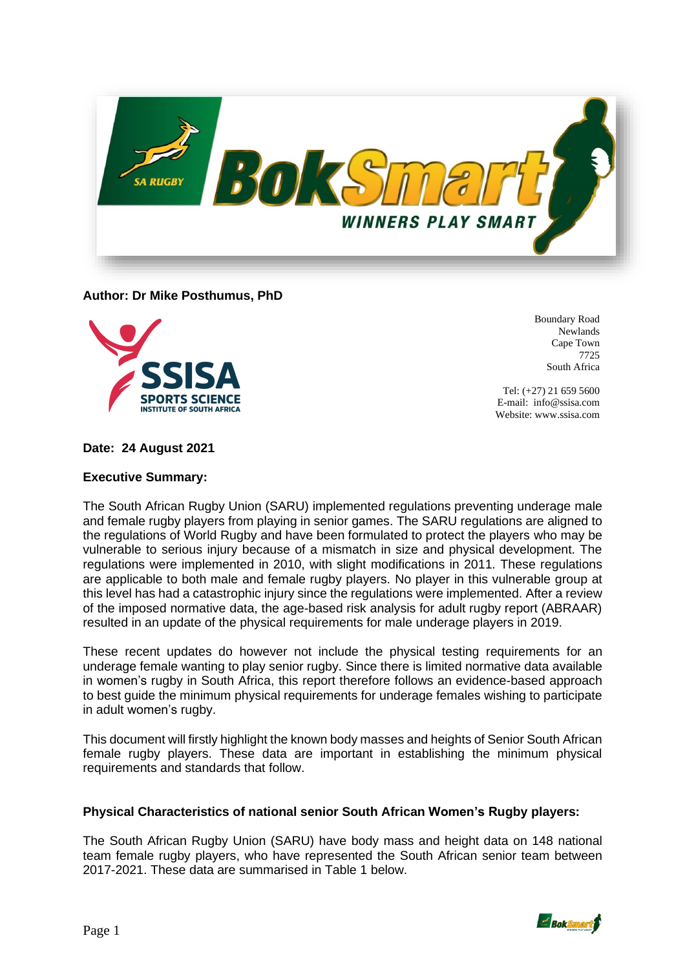

**Author: Dr Mike Posthumus, PhD**



Boundary Road Newlands Cape Town 7725 South Africa

Tel: (+27) 21 659 5600 E-mail: info@ssisa.com Website: www.ssisa.com

**Date: 24 August 2021** 

# **Executive Summary:**

The South African Rugby Union (SARU) implemented regulations preventing underage male and female rugby players from playing in senior games. The SARU regulations are aligned to the regulations of World Rugby and have been formulated to protect the players who may be vulnerable to serious injury because of a mismatch in size and physical development. The regulations were implemented in 2010, with slight modifications in 2011. These regulations are applicable to both male and female rugby players. No player in this vulnerable group at this level has had a catastrophic injury since the regulations were implemented. After a review of the imposed normative data, the age-based risk analysis for adult rugby report (ABRAAR) resulted in an update of the physical requirements for male underage players in 2019.

These recent updates do however not include the physical testing requirements for an underage female wanting to play senior rugby. Since there is limited normative data available in women's rugby in South Africa, this report therefore follows an evidence-based approach to best guide the minimum physical requirements for underage females wishing to participate in adult women's rugby.

This document will firstly highlight the known body masses and heights of Senior South African female rugby players. These data are important in establishing the minimum physical requirements and standards that follow.

# **Physical Characteristics of national senior South African Women's Rugby players:**

The South African Rugby Union (SARU) have body mass and height data on 148 national team female rugby players, who have represented the South African senior team between 2017-2021. These data are summarised in Table 1 below.

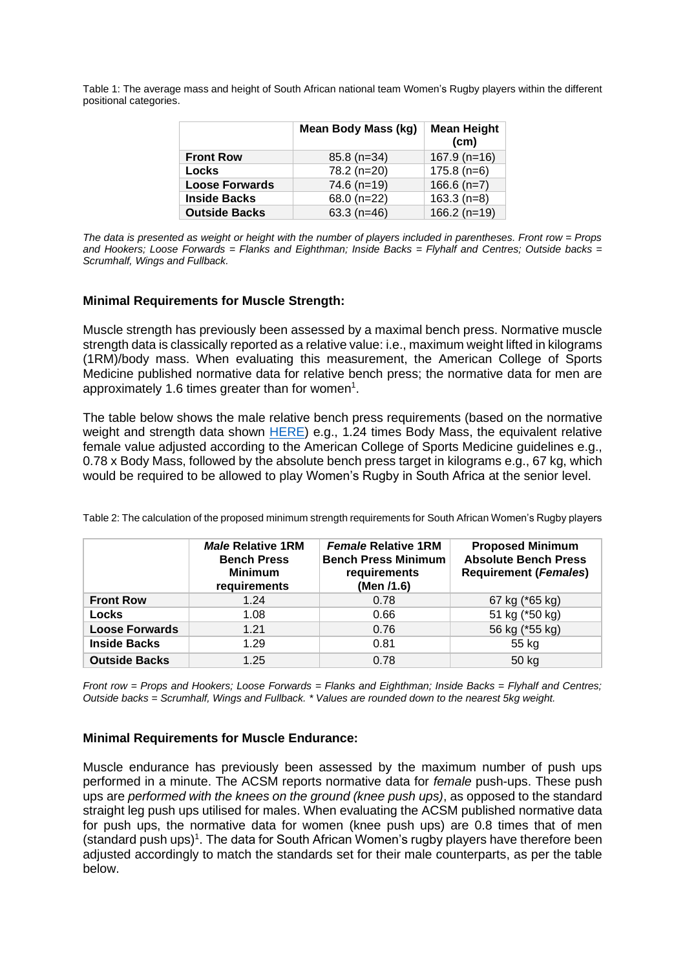Table 1: The average mass and height of South African national team Women's Rugby players within the different positional categories.

|                       | <b>Mean Body Mass (kg)</b> | <b>Mean Height</b><br>(c <sub>m</sub> ) |
|-----------------------|----------------------------|-----------------------------------------|
| <b>Front Row</b>      | $85.8(n=34)$               | $167.9$ (n=16)                          |
| Locks                 | 78.2 (n=20)                | $175.8(n=6)$                            |
| <b>Loose Forwards</b> | $74.6$ (n=19)              | $166.6$ (n=7)                           |
| <b>Inside Backs</b>   | 68.0 (n=22)                | $163.3(n=8)$                            |
| <b>Outside Backs</b>  | $63.3$ (n=46)              | $166.2 (n=19)$                          |

*The data is presented as weight or height with the number of players included in parentheses. Front row = Props and Hookers; Loose Forwards = Flanks and Eighthman; Inside Backs = Flyhalf and Centres; Outside backs = Scrumhalf, Wings and Fullback.*

# **Minimal Requirements for Muscle Strength:**

Muscle strength has previously been assessed by a maximal bench press. Normative muscle strength data is classically reported as a relative value: i.e., maximum weight lifted in kilograms (1RM)/body mass. When evaluating this measurement, the American College of Sports Medicine published normative data for relative bench press; the normative data for men are approximately 1.6 times greater than for women<sup>1</sup>.

The table below shows the male relative bench press requirements (based on the normative weight and strength data shown  $HERE$ ) e.g., 1.24 times Body Mass, the equivalent relative female value adjusted according to the American College of Sports Medicine guidelines e.g., 0.78 x Body Mass, followed by the absolute bench press target in kilograms e.g., 67 kg, which would be required to be allowed to play Women's Rugby in South Africa at the senior level.

|                       | <b>Male Relative 1RM</b><br><b>Bench Press</b><br><b>Minimum</b><br>requirements | <b>Female Relative 1RM</b><br><b>Bench Press Minimum</b><br>requirements<br>(Men /1.6) | <b>Proposed Minimum</b><br><b>Absolute Bench Press</b><br><b>Requirement (Females)</b> |
|-----------------------|----------------------------------------------------------------------------------|----------------------------------------------------------------------------------------|----------------------------------------------------------------------------------------|
| <b>Front Row</b>      | 1.24                                                                             | 0.78                                                                                   | 67 kg (*65 kg)                                                                         |
| <b>Locks</b>          | 1.08                                                                             | 0.66                                                                                   | 51 kg (*50 kg)                                                                         |
| <b>Loose Forwards</b> | 1.21                                                                             | 0.76                                                                                   | 56 kg (*55 kg)                                                                         |
| <b>Inside Backs</b>   | 1.29                                                                             | 0.81                                                                                   | 55 kg                                                                                  |
| <b>Outside Backs</b>  | 1.25                                                                             | 0.78                                                                                   | 50 kg                                                                                  |

Table 2: The calculation of the proposed minimum strength requirements for South African Women's Rugby players

*Front row = Props and Hookers; Loose Forwards = Flanks and Eighthman; Inside Backs = Flyhalf and Centres; Outside backs = Scrumhalf, Wings and Fullback. \* Values are rounded down to the nearest 5kg weight.*

### **Minimal Requirements for Muscle Endurance:**

Muscle endurance has previously been assessed by the maximum number of push ups performed in a minute. The ACSM reports normative data for *female* push-ups. These push ups are *performed with the knees on the ground (knee push ups)*, as opposed to the standard straight leg push ups utilised for males. When evaluating the ACSM published normative data for push ups, the normative data for women (knee push ups) are 0.8 times that of men (standard push ups)<sup>1</sup>. The data for South African Women's rugby players have therefore been adjusted accordingly to match the standards set for their male counterparts, as per the table below.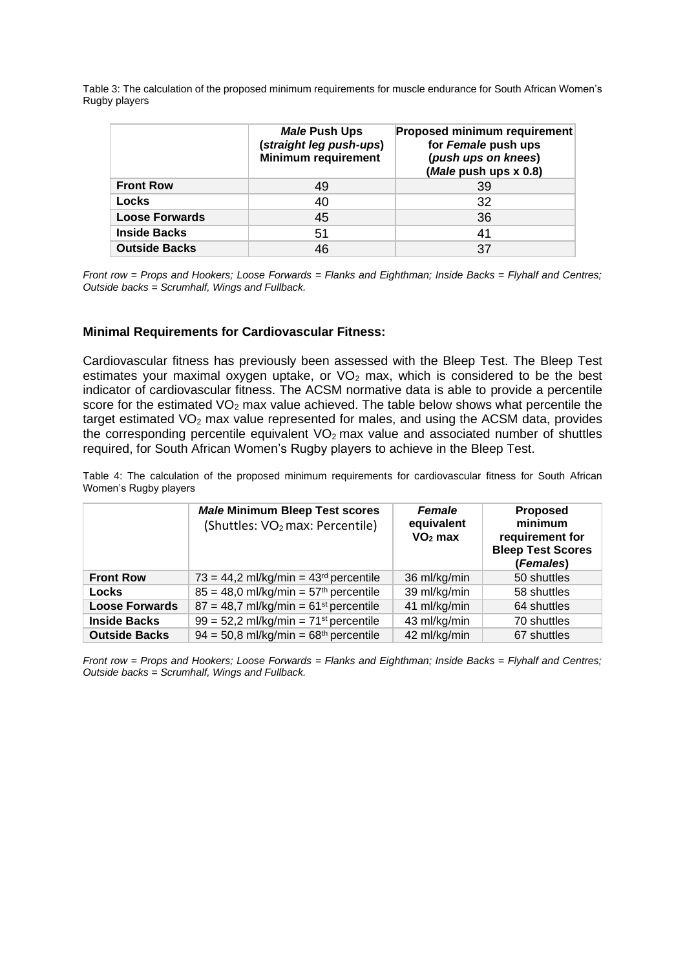Table 3: The calculation of the proposed minimum requirements for muscle endurance for South African Women's Rugby players

|                       | Male Push Ups<br>(straight leg push-ups)<br><b>Minimum requirement</b> | <b>Proposed minimum requirement</b><br>for Female push ups<br>(push ups on knees)<br>(Male push ups x 0.8) |
|-----------------------|------------------------------------------------------------------------|------------------------------------------------------------------------------------------------------------|
| <b>Front Row</b>      | 49                                                                     | 39                                                                                                         |
| Locks                 | 40                                                                     | 32                                                                                                         |
| <b>Loose Forwards</b> | 45                                                                     | 36                                                                                                         |
| <b>Inside Backs</b>   | 51                                                                     | 41                                                                                                         |
| <b>Outside Backs</b>  | 46                                                                     | 37                                                                                                         |

*Front row = Props and Hookers; Loose Forwards = Flanks and Eighthman; Inside Backs = Flyhalf and Centres; Outside backs = Scrumhalf, Wings and Fullback.*

# **Minimal Requirements for Cardiovascular Fitness:**

Cardiovascular fitness has previously been assessed with the Bleep Test. The Bleep Test estimates your maximal oxygen uptake, or  $VO<sub>2</sub>$  max, which is considered to be the best indicator of cardiovascular fitness. The ACSM normative data is able to provide a percentile score for the estimated  $VO<sub>2</sub>$  max value achieved. The table below shows what percentile the target estimated  $VO<sub>2</sub>$  max value represented for males, and using the ACSM data, provides the corresponding percentile equivalent  $VO<sub>2</sub>$  max value and associated number of shuttles required, for South African Women's Rugby players to achieve in the Bleep Test.

Table 4: The calculation of the proposed minimum requirements for cardiovascular fitness for South African Women's Rugby players

|                       | <b>Male Minimum Bleep Test scores</b><br>(Shuttles: VO <sub>2</sub> max: Percentile) | <b>Female</b><br>equivalent<br>$VO2$ max | <b>Proposed</b><br>minimum<br>requirement for<br><b>Bleep Test Scores</b><br>(Females) |
|-----------------------|--------------------------------------------------------------------------------------|------------------------------------------|----------------------------------------------------------------------------------------|
| <b>Front Row</b>      | $73 = 44.2$ ml/kg/min = $43rd$ percentile                                            | 36 ml/kg/min                             | 50 shuttles                                                                            |
| <b>Locks</b>          | $85 = 48.0$ ml/kg/min = $57th$ percentile                                            | 39 ml/kg/min                             | 58 shuttles                                                                            |
| <b>Loose Forwards</b> | $87 = 48,7$ ml/kg/min = $61st$ percentile                                            | 41 ml/kg/min                             | 64 shuttles                                                                            |
| <b>Inside Backs</b>   | $99 = 52,2$ ml/kg/min = 71 <sup>st</sup> percentile                                  | 43 ml/kg/min                             | 70 shuttles                                                                            |
| <b>Outside Backs</b>  | $94 = 50.8$ ml/kg/min = $68th$ percentile                                            | 42 ml/kg/min                             | 67 shuttles                                                                            |

*Front row = Props and Hookers; Loose Forwards = Flanks and Eighthman; Inside Backs = Flyhalf and Centres; Outside backs = Scrumhalf, Wings and Fullback.*